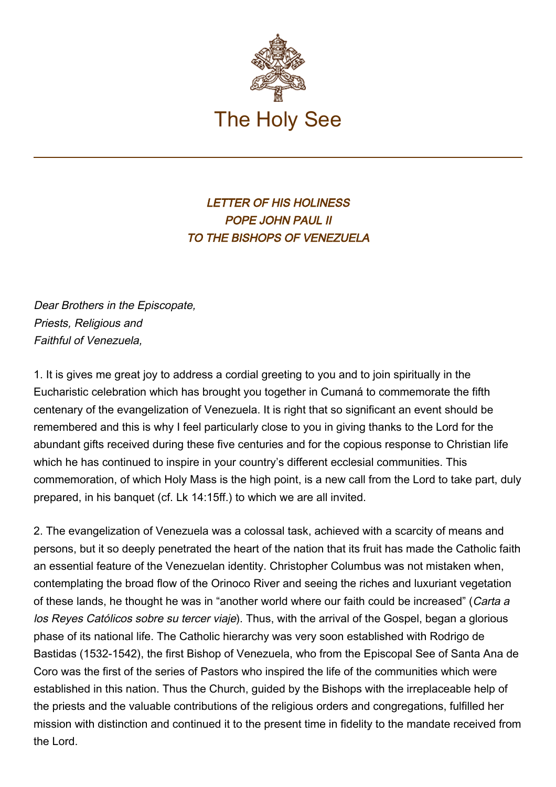

LETTER OF HIS HOLINESS POPE JOHN PAUL II TO THE BISHOPS OF VENEZUELA

Dear Brothers in the Episcopate, Priests, Religious and Faithful of Venezuela,

1. It is gives me great joy to address a cordial greeting to you and to join spiritually in the Eucharistic celebration which has brought you together in Cumaná to commemorate the fifth centenary of the evangelization of Venezuela. It is right that so significant an event should be remembered and this is why I feel particularly close to you in giving thanks to the Lord for the abundant gifts received during these five centuries and for the copious response to Christian life which he has continued to inspire in your country's different ecclesial communities. This commemoration, of which Holy Mass is the high point, is a new call from the Lord to take part, duly prepared, in his banquet (cf. Lk 14:15ff.) to which we are all invited.

2. The evangelization of Venezuela was a colossal task, achieved with a scarcity of means and persons, but it so deeply penetrated the heart of the nation that its fruit has made the Catholic faith an essential feature of the Venezuelan identity. Christopher Columbus was not mistaken when, contemplating the broad flow of the Orinoco River and seeing the riches and luxuriant vegetation of these lands, he thought he was in "another world where our faith could be increased" (Carta a los Reyes Católicos sobre su tercer viaje). Thus, with the arrival of the Gospel, began a glorious phase of its national life. The Catholic hierarchy was very soon established with Rodrigo de Bastidas (1532-1542), the first Bishop of Venezuela, who from the Episcopal See of Santa Ana de Coro was the first of the series of Pastors who inspired the life of the communities which were established in this nation. Thus the Church, guided by the Bishops with the irreplaceable help of the priests and the valuable contributions of the religious orders and congregations, fulfilled her mission with distinction and continued it to the present time in fidelity to the mandate received from the Lord.